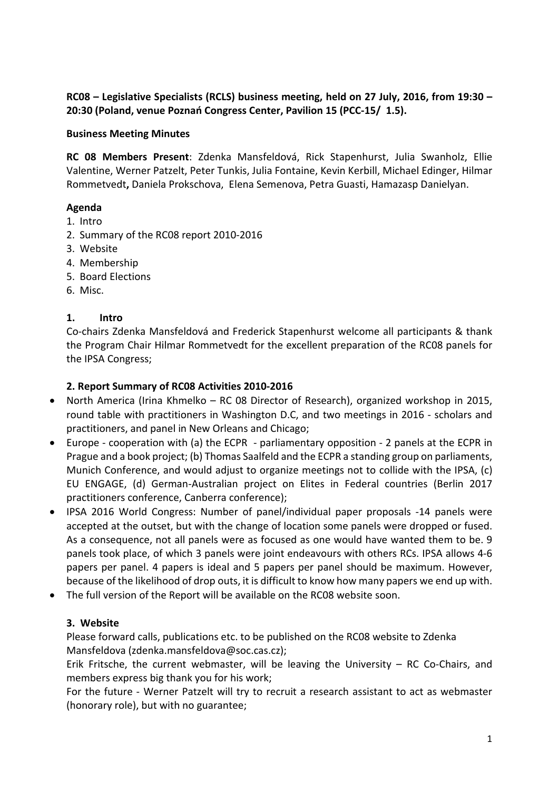RC08 – Legislative Specialists (RCLS) business meeting, held on 27 July, 2016, from 19:30 – 20:30 (Poland, venue Poznań Congress Center, Pavilion 15 (PCC-15/ 1.5).

### Business Meeting Minutes

RC 08 Members Present: Zdenka Mansfeldová, Rick Stapenhurst, Julia Swanholz, Ellie Valentine, Werner Patzelt, Peter Tunkis, Julia Fontaine, Kevin Kerbill, Michael Edinger, Hilmar Rommetvedt, Daniela Prokschova, Elena Semenova, Petra Guasti, Hamazasp Danielyan.

### Agenda

- 1. Intro
- 2. Summary of the RC08 report 2010-2016
- 3. Website
- 4. Membership
- 5. Board Elections
- 6. Misc.

## 1. Intro

Co-chairs Zdenka Mansfeldová and Frederick Stapenhurst welcome all participants & thank the Program Chair Hilmar Rommetvedt for the excellent preparation of the RC08 panels for the IPSA Congress;

## 2. Report Summary of RC08 Activities 2010-2016

- North America (Irina Khmelko RC 08 Director of Research), organized workshop in 2015, round table with practitioners in Washington D.C, and two meetings in 2016 - scholars and practitioners, and panel in New Orleans and Chicago;
- Europe cooperation with (a) the ECPR parliamentary opposition 2 panels at the ECPR in Prague and a book project; (b) Thomas Saalfeld and the ECPR a standing group on parliaments, Munich Conference, and would adjust to organize meetings not to collide with the IPSA, (c) EU ENGAGE, (d) German-Australian project on Elites in Federal countries (Berlin 2017 practitioners conference, Canberra conference);
- IPSA 2016 World Congress: Number of panel/individual paper proposals -14 panels were accepted at the outset, but with the change of location some panels were dropped or fused. As a consequence, not all panels were as focused as one would have wanted them to be. 9 panels took place, of which 3 panels were joint endeavours with others RCs. IPSA allows 4-6 papers per panel. 4 papers is ideal and 5 papers per panel should be maximum. However, because of the likelihood of drop outs, it is difficult to know how many papers we end up with.
- The full version of the Report will be available on the RC08 website soon.

### 3. Website

Please forward calls, publications etc. to be published on the RC08 website to Zdenka Mansfeldova (zdenka.mansfeldova@soc.cas.cz);

Erik Fritsche, the current webmaster, will be leaving the University – RC Co-Chairs, and members express big thank you for his work;

For the future - Werner Patzelt will try to recruit a research assistant to act as webmaster (honorary role), but with no guarantee;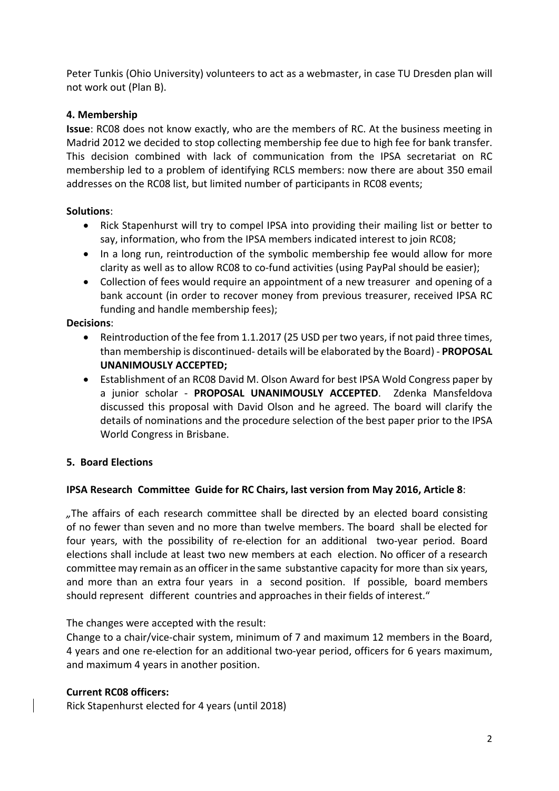Peter Tunkis (Ohio University) volunteers to act as a webmaster, in case TU Dresden plan will not work out (Plan B).

# 4. Membership

Issue: RC08 does not know exactly, who are the members of RC. At the business meeting in Madrid 2012 we decided to stop collecting membership fee due to high fee for bank transfer. This decision combined with lack of communication from the IPSA secretariat on RC membership led to a problem of identifying RCLS members: now there are about 350 email addresses on the RC08 list, but limited number of participants in RC08 events;

# Solutions:

- Rick Stapenhurst will try to compel IPSA into providing their mailing list or better to say, information, who from the IPSA members indicated interest to join RC08;
- In a long run, reintroduction of the symbolic membership fee would allow for more clarity as well as to allow RC08 to co-fund activities (using PayPal should be easier);
- Collection of fees would require an appointment of a new treasurer and opening of a bank account (in order to recover money from previous treasurer, received IPSA RC funding and handle membership fees);

## Decisions:

- Reintroduction of the fee from 1.1.2017 (25 USD per two years, if not paid three times, than membership is discontinued- details will be elaborated by the Board) - PROPOSAL UNANIMOUSLY ACCEPTED;
- Establishment of an RC08 David M. Olson Award for best IPSA Wold Congress paper by a junior scholar - PROPOSAL UNANIMOUSLY ACCEPTED. Zdenka Mansfeldova discussed this proposal with David Olson and he agreed. The board will clarify the details of nominations and the procedure selection of the best paper prior to the IPSA World Congress in Brisbane.

# 5. Board Elections

### IPSA Research Committee Guide for RC Chairs, last version from May 2016, Article 8:

*"*The affairs of each research committee shall be directed by an elected board consisting of no fewer than seven and no more than twelve members. The board shall be elected for four years, with the possibility of re-election for an additional two-year period. Board elections shall include at least two new members at each election. No officer of a research committee may remain as an officer in the same substantive capacity for more than six years, and more than an extra four years in a second position. If possible, board members should represent different countries and approaches in their fields of interest."

The changes were accepted with the result:

Change to a chair/vice-chair system, minimum of 7 and maximum 12 members in the Board, 4 years and one re-election for an additional two-year period, officers for 6 years maximum, and maximum 4 years in another position.

### Current RC08 officers:

Rick Stapenhurst elected for 4 years (until 2018)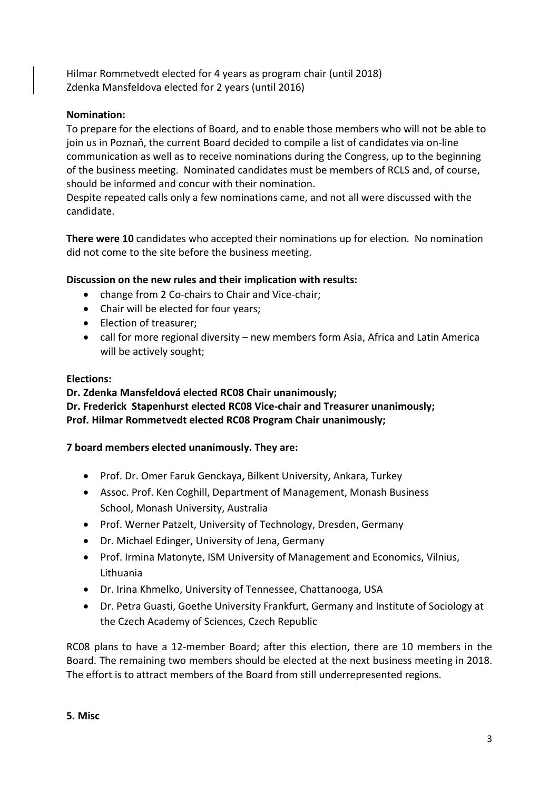Hilmar Rommetvedt elected for 4 years as program chair (until 2018) Zdenka Mansfeldova elected for 2 years (until 2016)

## Nomination:

To prepare for the elections of Board, and to enable those members who will not be able to join us in Poznaň, the current Board decided to compile a list of candidates via on-line communication as well as to receive nominations during the Congress, up to the beginning of the business meeting. Nominated candidates must be members of RCLS and, of course, should be informed and concur with their nomination.

Despite repeated calls only a few nominations came, and not all were discussed with the candidate.

There were 10 candidates who accepted their nominations up for election. No nomination did not come to the site before the business meeting.

### Discussion on the new rules and their implication with results:

- change from 2 Co-chairs to Chair and Vice-chair;
- Chair will be elected for four years;
- Election of treasurer;
- call for more regional diversity new members form Asia, Africa and Latin America will be actively sought;

#### Elections:

Dr. Zdenka Mansfeldová elected RC08 Chair unanimously; Dr. Frederick Stapenhurst elected RC08 Vice-chair and Treasurer unanimously; Prof. Hilmar Rommetvedt elected RC08 Program Chair unanimously;

### 7 board members elected unanimously. They are:

- Prof. Dr. Omer Faruk Genckaya, Bilkent University, Ankara, Turkey
- Assoc. Prof. Ken Coghill, Department of Management, Monash Business School, Monash University, Australia
- Prof. Werner Patzelt, University of Technology, Dresden, Germany
- Dr. Michael Edinger, University of Jena, Germany
- Prof. Irmina Matonyte, ISM University of Management and Economics, Vilnius, Lithuania
- Dr. Irina Khmelko, University of Tennessee, Chattanooga, USA
- Dr. Petra Guasti, Goethe University Frankfurt, Germany and Institute of Sociology at the Czech Academy of Sciences, Czech Republic

RC08 plans to have a 12-member Board; after this election, there are 10 members in the Board. The remaining two members should be elected at the next business meeting in 2018. The effort is to attract members of the Board from still underrepresented regions.